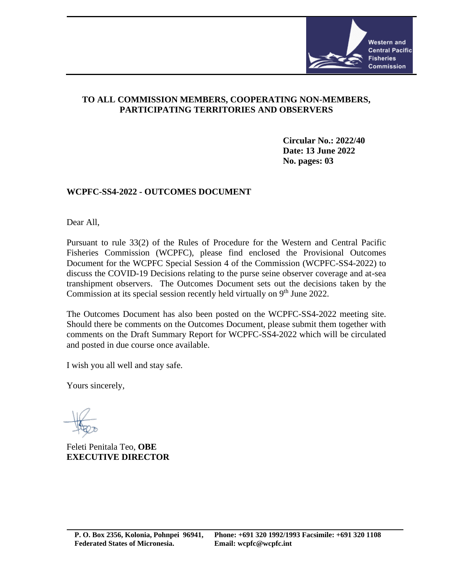

## **TO ALL COMMISSION MEMBERS, COOPERATING NON-MEMBERS, PARTICIPATING TERRITORIES AND OBSERVERS**

**Circular No.: 2022/40 Date: 13 June 2022 No. pages: 03**

## **WCPFC-SS4-2022 - OUTCOMES DOCUMENT**

Dear All,

Pursuant to rule 33(2) of the Rules of Procedure for the Western and Central Pacific Fisheries Commission (WCPFC), please find enclosed the Provisional Outcomes Document for the WCPFC Special Session 4 of the Commission (WCPFC-SS4-2022) to discuss the COVID-19 Decisions relating to the purse seine observer coverage and at-sea transhipment observers. The Outcomes Document sets out the decisions taken by the Commission at its special session recently held virtually on  $9<sup>th</sup>$  June 2022.

The Outcomes Document has also been posted on the WCPFC-SS4-2022 meeting site. Should there be comments on the Outcomes Document, please submit them together with comments on the Draft Summary Report for WCPFC-SS4-2022 which will be circulated and posted in due course once available.

I wish you all well and stay safe.

Yours sincerely,

Feleti Penitala Teo, **OBE EXECUTIVE DIRECTOR**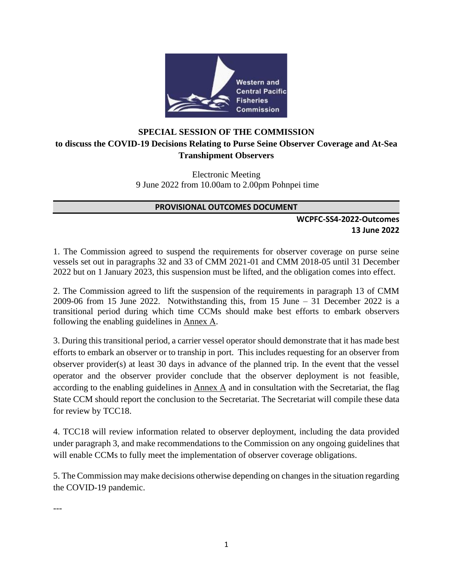

# **SPECIAL SESSION OF THE COMMISSION to discuss the COVID-19 Decisions Relating to Purse Seine Observer Coverage and At-Sea Transhipment Observers**

Electronic Meeting 9 June 2022 from 10.00am to 2.00pm Pohnpei time

#### **PROVISIONAL OUTCOMES DOCUMENT**

### **WCPFC-SS4-2022-Outcomes 13 June 2022**

1. The Commission agreed to suspend the requirements for observer coverage on purse seine vessels set out in paragraphs 32 and 33 of CMM 2021-01 and CMM 2018-05 until 31 December 2022 but on 1 January 2023, this suspension must be lifted, and the obligation comes into effect.

2. The Commission agreed to lift the suspension of the requirements in paragraph 13 of CMM 2009-06 from 15 June 2022. Notwithstanding this, from 15 June – 31 December 2022 is a transitional period during which time CCMs should make best efforts to embark observers following the enabling guidelines in Annex A.

3. During this transitional period, a carrier vessel operator should demonstrate that it has made best efforts to embark an observer or to tranship in port. This includes requesting for an observer from observer provider(s) at least 30 days in advance of the planned trip. In the event that the vessel operator and the observer provider conclude that the observer deployment is not feasible, according to the enabling guidelines in Annex A and in consultation with the Secretariat, the flag State CCM should report the conclusion to the Secretariat. The Secretariat will compile these data for review by TCC18.

4. TCC18 will review information related to observer deployment, including the data provided under paragraph 3, and make recommendations to the Commission on any ongoing guidelines that will enable CCMs to fully meet the implementation of observer coverage obligations.

5. The Commission may make decisions otherwise depending on changes in the situation regarding the COVID-19 pandemic.

---